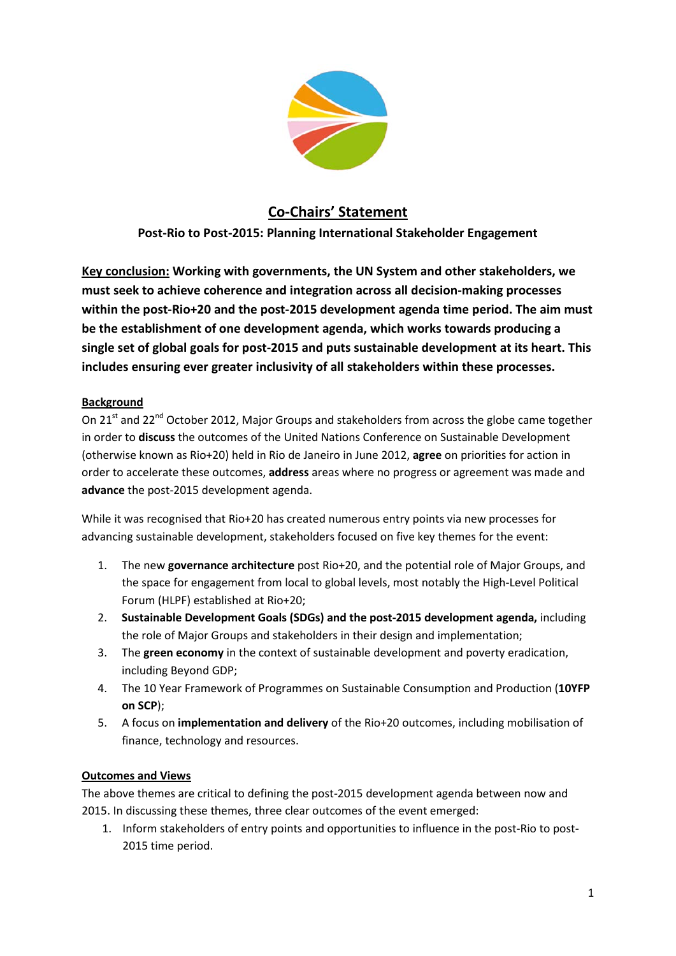

## **Co-Chairs' Statement**

**Post-Rio to Post-2015: Planning International Stakeholder Engagement**

**Key conclusion: Working with governments, the UN System and other stakeholders, we must seek to achieve coherence and integration across all decision-making processes within the post-Rio+20 and the post-2015 development agenda time period. The aim must be the establishment of one development agenda, which works towards producing a single set of global goals for post-2015 and puts sustainable development at its heart. This includes ensuring ever greater inclusivity of all stakeholders within these processes.**

## **Background**

On 21<sup>st</sup> and 22<sup>nd</sup> October 2012, Major Groups and stakeholders from across the globe came together in order to **discuss** the outcomes of the United Nations Conference on Sustainable Development (otherwise known as Rio+20) held in Rio de Janeiro in June 2012, **agree** on priorities for action in order to accelerate these outcomes, **address** areas where no progress or agreement was made and **advance** the post-2015 development agenda.

While it was recognised that Rio+20 has created numerous entry points via new processes for advancing sustainable development, stakeholders focused on five key themes for the event:

- 1. The new **governance architecture** post Rio+20, and the potential role of Major Groups, and the space for engagement from local to global levels, most notably the High-Level Political Forum (HLPF) established at Rio+20;
- 2. **Sustainable Development Goals (SDGs) and the post-2015 development agenda,** including the role of Major Groups and stakeholders in their design and implementation;
- 3. The **green economy** in the context of sustainable development and poverty eradication, including Beyond GDP;
- 4. The 10 Year Framework of Programmes on Sustainable Consumption and Production (**10YFP on SCP**);
- 5. A focus on **implementation and delivery** of the Rio+20 outcomes, including mobilisation of finance, technology and resources.

## **Outcomes and Views**

The above themes are critical to defining the post-2015 development agenda between now and 2015. In discussing these themes, three clear outcomes of the event emerged:

1. Inform stakeholders of entry points and opportunities to influence in the post-Rio to post-2015 time period.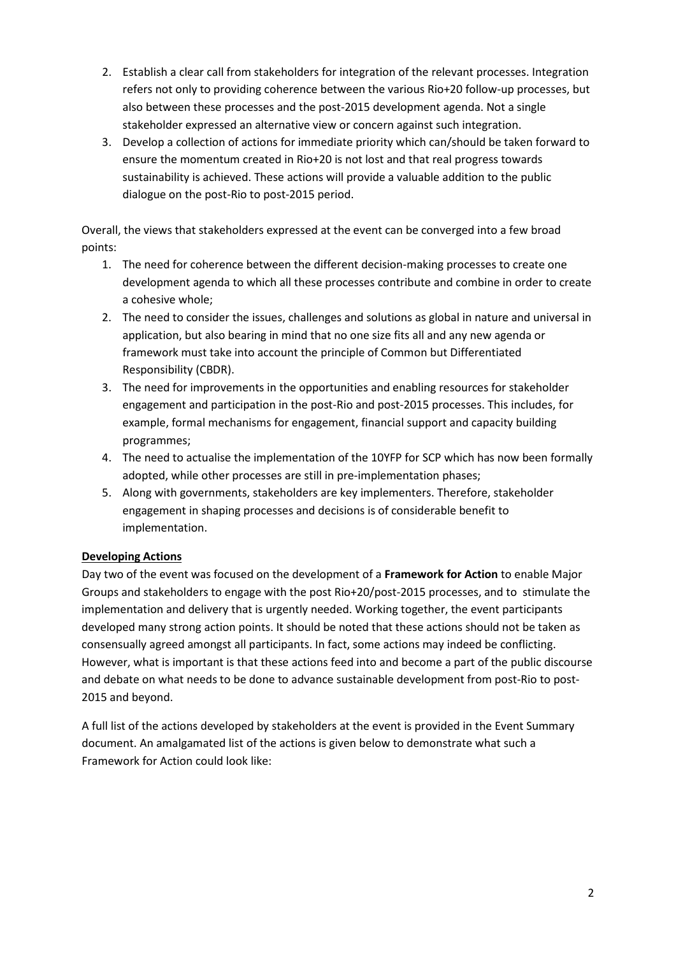- 2. Establish a clear call from stakeholders for integration of the relevant processes. Integration refers not only to providing coherence between the various Rio+20 follow-up processes, but also between these processes and the post-2015 development agenda. Not a single stakeholder expressed an alternative view or concern against such integration.
- 3. Develop a collection of actions for immediate priority which can/should be taken forward to ensure the momentum created in Rio+20 is not lost and that real progress towards sustainability is achieved. These actions will provide a valuable addition to the public dialogue on the post-Rio to post-2015 period.

Overall, the views that stakeholders expressed at the event can be converged into a few broad points:

- 1. The need for coherence between the different decision-making processes to create one development agenda to which all these processes contribute and combine in order to create a cohesive whole;
- 2. The need to consider the issues, challenges and solutions as global in nature and universal in application, but also bearing in mind that no one size fits all and any new agenda or framework must take into account the principle of Common but Differentiated Responsibility (CBDR).
- 3. The need for improvements in the opportunities and enabling resources for stakeholder engagement and participation in the post-Rio and post-2015 processes. This includes, for example, formal mechanisms for engagement, financial support and capacity building programmes;
- 4. The need to actualise the implementation of the 10YFP for SCP which has now been formally adopted, while other processes are still in pre-implementation phases;
- 5. Along with governments, stakeholders are key implementers. Therefore, stakeholder engagement in shaping processes and decisions is of considerable benefit to implementation.

## **Developing Actions**

Day two of the event was focused on the development of a **Framework for Action** to enable Major Groups and stakeholders to engage with the post Rio+20/post-2015 processes, and to stimulate the implementation and delivery that is urgently needed. Working together, the event participants developed many strong action points. It should be noted that these actions should not be taken as consensually agreed amongst all participants. In fact, some actions may indeed be conflicting. However, what is important is that these actions feed into and become a part of the public discourse and debate on what needs to be done to advance sustainable development from post-Rio to post-2015 and beyond.

A full list of the actions developed by stakeholders at the event is provided in the Event Summary document. An amalgamated list of the actions is given below to demonstrate what such a Framework for Action could look like: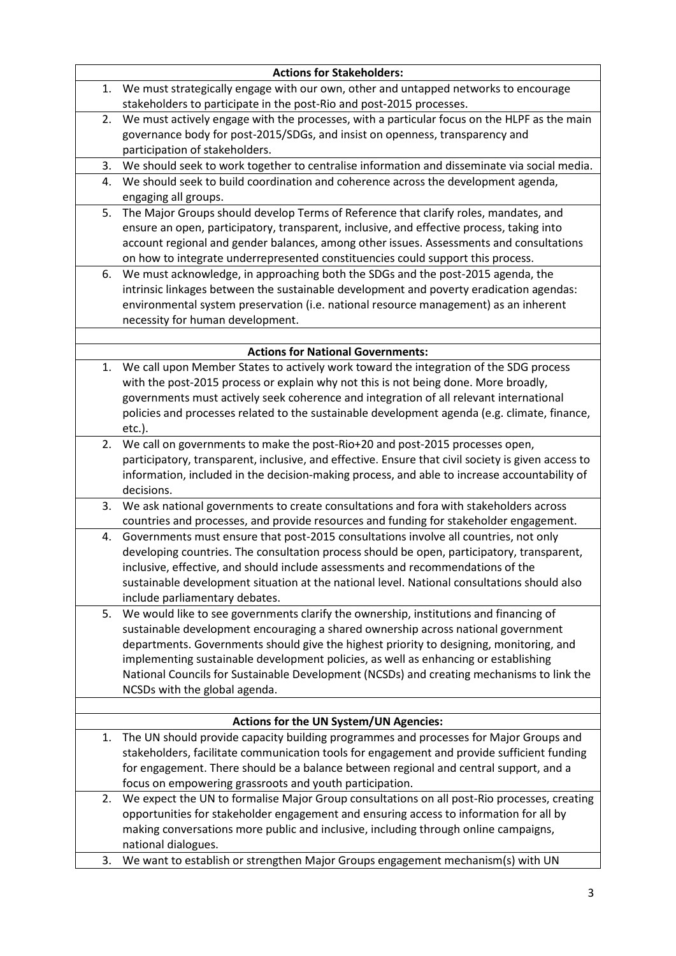| <b>Actions for Stakeholders:</b> |                                                                                                                                                             |
|----------------------------------|-------------------------------------------------------------------------------------------------------------------------------------------------------------|
| 1.                               | We must strategically engage with our own, other and untapped networks to encourage<br>stakeholders to participate in the post-Rio and post-2015 processes. |
| 2.                               | We must actively engage with the processes, with a particular focus on the HLPF as the main                                                                 |
|                                  | governance body for post-2015/SDGs, and insist on openness, transparency and                                                                                |
|                                  | participation of stakeholders.                                                                                                                              |
| 3.                               | We should seek to work together to centralise information and disseminate via social media.                                                                 |
| 4.                               | We should seek to build coordination and coherence across the development agenda,                                                                           |
|                                  | engaging all groups.                                                                                                                                        |
| 5.                               | The Major Groups should develop Terms of Reference that clarify roles, mandates, and                                                                        |
|                                  | ensure an open, participatory, transparent, inclusive, and effective process, taking into                                                                   |
|                                  | account regional and gender balances, among other issues. Assessments and consultations                                                                     |
|                                  | on how to integrate underrepresented constituencies could support this process.                                                                             |
| 6.                               | We must acknowledge, in approaching both the SDGs and the post-2015 agenda, the                                                                             |
|                                  | intrinsic linkages between the sustainable development and poverty eradication agendas:                                                                     |
|                                  | environmental system preservation (i.e. national resource management) as an inherent                                                                        |
|                                  | necessity for human development.                                                                                                                            |
|                                  |                                                                                                                                                             |
|                                  | <b>Actions for National Governments:</b>                                                                                                                    |
| 1.                               | We call upon Member States to actively work toward the integration of the SDG process                                                                       |
|                                  | with the post-2015 process or explain why not this is not being done. More broadly,                                                                         |
|                                  | governments must actively seek coherence and integration of all relevant international                                                                      |
|                                  | policies and processes related to the sustainable development agenda (e.g. climate, finance,                                                                |
|                                  | $etc.$ ).                                                                                                                                                   |
| 2.                               | We call on governments to make the post-Rio+20 and post-2015 processes open,                                                                                |
|                                  | participatory, transparent, inclusive, and effective. Ensure that civil society is given access to                                                          |
|                                  | information, included in the decision-making process, and able to increase accountability of                                                                |
|                                  | decisions.                                                                                                                                                  |
| 3.                               | We ask national governments to create consultations and fora with stakeholders across                                                                       |
|                                  | countries and processes, and provide resources and funding for stakeholder engagement.                                                                      |
| 4.                               | Governments must ensure that post-2015 consultations involve all countries, not only                                                                        |
|                                  | developing countries. The consultation process should be open, participatory, transparent,                                                                  |
|                                  | inclusive, effective, and should include assessments and recommendations of the                                                                             |
|                                  | sustainable development situation at the national level. National consultations should also                                                                 |
|                                  | include parliamentary debates.                                                                                                                              |
| 5.                               | We would like to see governments clarify the ownership, institutions and financing of                                                                       |
|                                  | sustainable development encouraging a shared ownership across national government                                                                           |
|                                  | departments. Governments should give the highest priority to designing, monitoring, and                                                                     |
|                                  | implementing sustainable development policies, as well as enhancing or establishing                                                                         |
|                                  | National Councils for Sustainable Development (NCSDs) and creating mechanisms to link the                                                                   |
|                                  | NCSDs with the global agenda.                                                                                                                               |
|                                  |                                                                                                                                                             |
| 1.                               | <b>Actions for the UN System/UN Agencies:</b><br>The UN should provide capacity building programmes and processes for Major Groups and                      |
|                                  | stakeholders, facilitate communication tools for engagement and provide sufficient funding                                                                  |
|                                  | for engagement. There should be a balance between regional and central support, and a                                                                       |
|                                  | focus on empowering grassroots and youth participation.                                                                                                     |
| 2.                               | We expect the UN to formalise Major Group consultations on all post-Rio processes, creating                                                                 |
|                                  | opportunities for stakeholder engagement and ensuring access to information for all by                                                                      |
|                                  | making conversations more public and inclusive, including through online campaigns,                                                                         |
|                                  | national dialogues.                                                                                                                                         |
|                                  | We want to establish or strengthen Major Groups engagement mechanism(s) with UN                                                                             |
| 3.                               |                                                                                                                                                             |